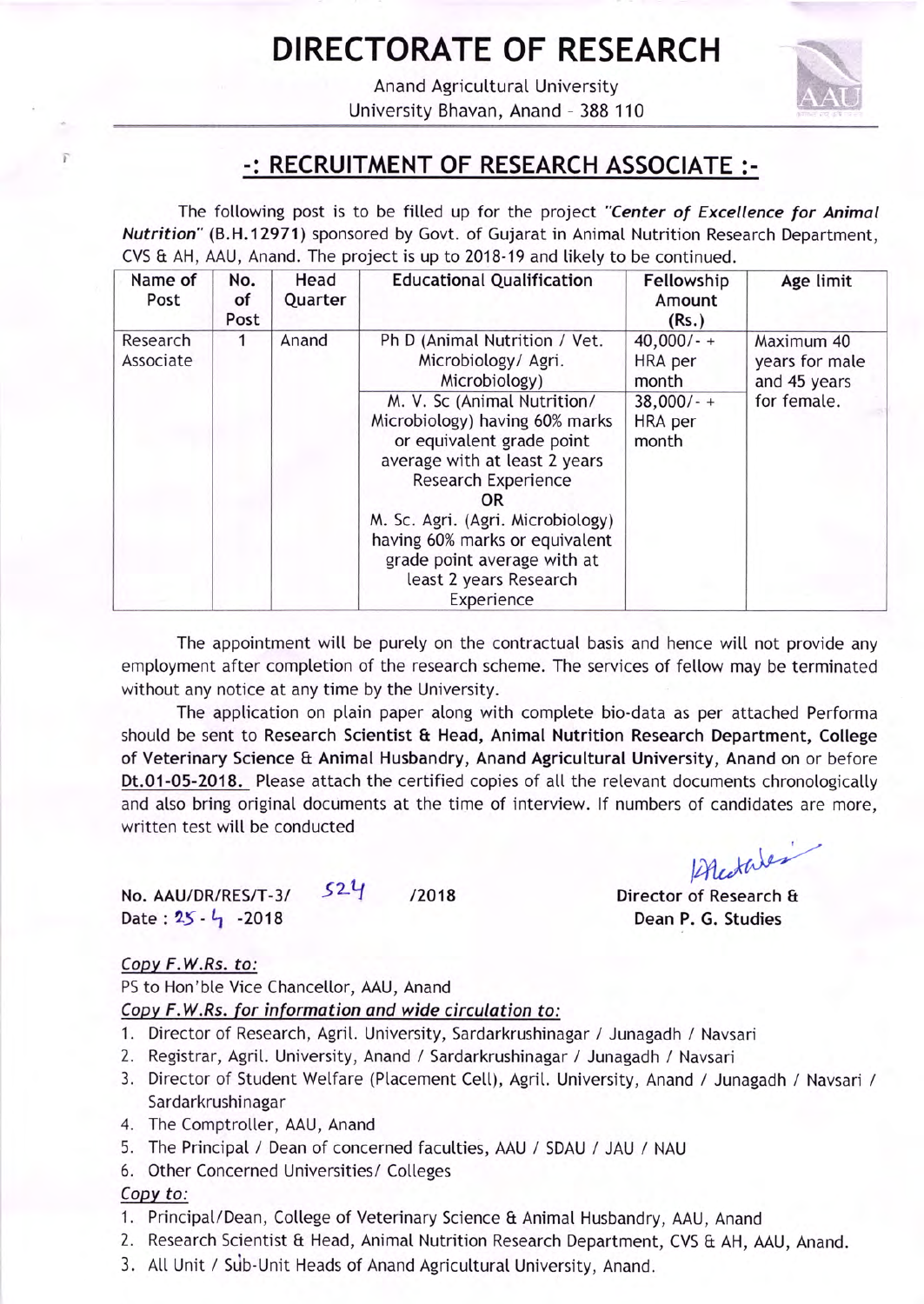# DIRECTORATE OF RESEARCH

Anand Agricutturat University University Bhavan, Anand - 388 110



### .: RECRUITMENT OF RESEARCH ASSOCIATE :.

The following post is to be filled up for the project "Center of Excellence for Animal Nutrition" (B.H.12971) sponsored by Govt. of Gujarat in Animal Nutrition Research Department, CVS & AH, AAU, Anand. The project is up to 2018-19 and tikety to be continued.

| Name of<br>Post       | No.<br>of<br>Post | Head<br>Quarter | <b>Educational Qualification</b>                                                                                                                                                                                                                                                                                                                                                | Fellowship<br>Amount<br>(Rs.)                                      | Age limit                                                   |
|-----------------------|-------------------|-----------------|---------------------------------------------------------------------------------------------------------------------------------------------------------------------------------------------------------------------------------------------------------------------------------------------------------------------------------------------------------------------------------|--------------------------------------------------------------------|-------------------------------------------------------------|
| Research<br>Associate |                   | Anand           | Ph D (Animal Nutrition / Vet.<br>Microbiology/ Agri.<br>Microbiology)<br>M. V. Sc (Animal Nutrition/<br>Microbiology) having 60% marks<br>or equivalent grade point<br>average with at least 2 years<br>Research Experience<br>OR<br>M. Sc. Agri. (Agri. Microbiology)<br>having 60% marks or equivalent<br>grade point average with at<br>least 2 years Research<br>Experience | $40,000/-$<br>HRA per<br>month<br>$38,000/- +$<br>HRA per<br>month | Maximum 40<br>years for male<br>and 45 years<br>for female. |

The appointment will be purely on the contractual basis and hence will not provide any employment after completion of the research scheme. The services of fellow may be terminated without any notice at any time by the University.

The application on plain paper along with complete bio-data as per attached Performa should be sent to Research Scientist & Head, Animal Nutrition Research Department, College of Veterinary Science & Animal Husbandry, Anand Agricuttural University, Anand on or before Dt.01-05-2018. Please attach the certified copies of all the relevant documents chronologically and also bring original documents at the time of interview. If numbers of candidates are more, written test will be conducted

No. AAU/DR/RES/T-3/  $52\frac{4}{10}$  /2018 Date:  $25 - \frac{1}{1}$  -2018

Acetales

Director of Research & Dean P. G. Studies

#### Copy F.W.Rs. to:

PS to Hon'ble Vice Chancellor, AAU, Anand

Copy F.W.Rs. for information and wide circulation to:

- 1. Director of Research, Agrit. University, Sardarkrushinagar / Junagadh / Navsari
- Z. Registrar, Agrit. University, Anand / Sardarkrushinagar / Junagadh / Navsari
- 3. Director of Student Wetfare (Placement Cell), Agrit. University, Anand / Junagadh / Navsari / Sardarkrushinagar
- 4. The Comptrotler, AAU, Anand
- 5. The Principal / Dean of concerned faculties, AAU / SDAU / JAU / NAU
- 6. Other Concerned Universities/ Colleges

### Copv to:

- 1. Principal/Dean, College of Veterinary Science & Animal Husbandry, AAU, Anand
- 2. Research Scientist & Head, Animal Nutrition Research Department, CVS & AH, AAU, Anand.
- 3. All Unit / Sub-Unit Heads of Anand Agricultural University, Anand.